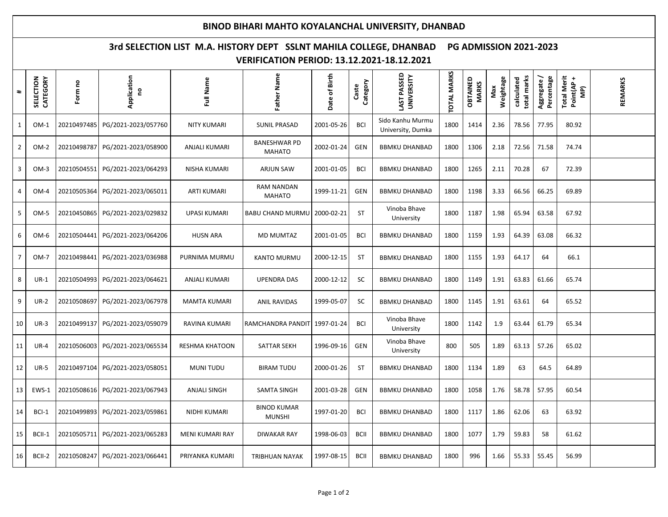## **BINOD BIHARI MAHTO KOYALANCHAL UNIVERSITY, DHANBAD**

## **3rd SELECTION LIST M.A. HISTORY DEPT SSLNT MAHILA COLLEGE, DHANBAD PG ADMISSION 2021-2023 VERIFICATION PERIOD: 13.12.2021-18.12.2021**

| $\pmb{\ast}$   | SELECTION<br>CATEGORY | Form no     | Application<br>S    | Full Name            | Father Name                          | Date of Birth | Category<br>Caste | LAST PASSED<br>UNIVERSITY             | <b>TOTAL MARKS</b> | OBTAINED<br><b>MARKS</b> | Weightage<br>Max | total marks<br>calculated | Percentage<br>Aggregate | <b>Total Merit</b><br>$\ddot{}$<br>Point(AP<br>$\widetilde{\mathbf{P}}$ | REMARKS |
|----------------|-----------------------|-------------|---------------------|----------------------|--------------------------------------|---------------|-------------------|---------------------------------------|--------------------|--------------------------|------------------|---------------------------|-------------------------|-------------------------------------------------------------------------|---------|
| $\mathbf{1}$   | $OM-1$                | 20210497485 | PG/2021-2023/057760 | <b>NITY KUMARI</b>   | <b>SUNIL PRASAD</b>                  | 2001-05-26    | <b>BCI</b>        | Sido Kanhu Murmu<br>University, Dumka | 1800               | 1414                     | 2.36             | 78.56                     | 77.95                   | 80.92                                                                   |         |
| $\overline{2}$ | $OM-2$                | 20210498787 | PG/2021-2023/058900 | <b>ANJALI KUMARI</b> | <b>BANESHWAR PD</b><br><b>MAHATO</b> | 2002-01-24    | <b>GEN</b>        | <b>BBMKU DHANBAD</b>                  | 1800               | 1306                     | 2.18             | 72.56                     | 71.58                   | 74.74                                                                   |         |
| 3              | $OM-3$                | 20210504551 | PG/2021-2023/064293 | NISHA KUMARI         | <b>ARJUN SAW</b>                     | 2001-01-05    | <b>BCI</b>        | <b>BBMKU DHANBAD</b>                  | 1800               | 1265                     | 2.11             | 70.28                     | 67                      | 72.39                                                                   |         |
| 4              | $OM-4$                | 20210505364 | PG/2021-2023/065011 | <b>ARTI KUMARI</b>   | RAM NANDAN<br><b>MAHATO</b>          | 1999-11-21    | <b>GEN</b>        | <b>BBMKU DHANBAD</b>                  | 1800               | 1198                     | 3.33             | 66.56                     | 66.25                   | 69.89                                                                   |         |
| 5              | OM-5                  | 20210450865 | PG/2021-2023/029832 | UPASI KUMARI         | <b>BABU CHAND MURMU</b>              | 2000-02-21    | <b>ST</b>         | Vinoba Bhave<br>University            | 1800               | 1187                     | 1.98             | 65.94                     | 63.58                   | 67.92                                                                   |         |
| 6              | OM-6                  | 20210504441 | PG/2021-2023/064206 | <b>HUSN ARA</b>      | <b>MD MUMTAZ</b>                     | 2001-01-05    | <b>BCI</b>        | <b>BBMKU DHANBAD</b>                  | 1800               | 1159                     | 1.93             | 64.39                     | 63.08                   | 66.32                                                                   |         |
| $\overline{7}$ | <b>OM-7</b>           | 20210498441 | PG/2021-2023/036988 | PURNIMA MURMU        | <b>KANTO MURMU</b>                   | 2000-12-15    | ST                | <b>BBMKU DHANBAD</b>                  | 1800               | 1155                     | 1.93             | 64.17                     | 64                      | 66.1                                                                    |         |
| 8              | $UR-1$                | 20210504993 | PG/2021-2023/064621 | <b>ANJALI KUMARI</b> | <b>UPENDRA DAS</b>                   | 2000-12-12    | <b>SC</b>         | <b>BBMKU DHANBAD</b>                  | 1800               | 1149                     | 1.91             | 63.83                     | 61.66                   | 65.74                                                                   |         |
| 9              | <b>UR-2</b>           | 20210508697 | PG/2021-2023/067978 | <b>MAMTA KUMARI</b>  | <b>ANIL RAVIDAS</b>                  | 1999-05-07    | <b>SC</b>         | <b>BBMKU DHANBAD</b>                  | 1800               | 1145                     | 1.91             | 63.61                     | 64                      | 65.52                                                                   |         |
| 10             | $UR-3$                | 20210499137 | PG/2021-2023/059079 | RAVINA KUMARI        | RAMCHANDRA PANDIT                    | 1997-01-24    | <b>BCI</b>        | Vinoba Bhave<br>University            | 1800               | 1142                     | 1.9              | 63.44                     | 61.79                   | 65.34                                                                   |         |
| 11             | $UR-4$                | 20210506003 | PG/2021-2023/065534 | RESHMA KHATOON       | <b>SATTAR SEKH</b>                   | 1996-09-16    | GEN               | Vinoba Bhave<br>University            | 800                | 505                      | 1.89             | 63.13                     | 57.26                   | 65.02                                                                   |         |
| 12             | <b>UR-5</b>           | 20210497104 | PG/2021-2023/058051 | <b>MUNITUDU</b>      | <b>BIRAM TUDU</b>                    | 2000-01-26    | <b>ST</b>         | <b>BBMKU DHANBAD</b>                  | 1800               | 1134                     | 1.89             | 63                        | 64.5                    | 64.89                                                                   |         |
| 13             | EWS-1                 | 20210508616 | PG/2021-2023/067943 | <b>ANJALI SINGH</b>  | SAMTA SINGH                          | 2001-03-28    | <b>GEN</b>        | <b>BBMKU DHANBAD</b>                  | 1800               | 1058                     | 1.76             | 58.78                     | 57.95                   | 60.54                                                                   |         |
| 14             | BCI-1                 | 20210499893 | PG/2021-2023/059861 | NIDHI KUMARI         | <b>BINOD KUMAR</b><br><b>MUNSHI</b>  | 1997-01-20    | <b>BCI</b>        | <b>BBMKU DHANBAD</b>                  | 1800               | 1117                     | 1.86             | 62.06                     | 63                      | 63.92                                                                   |         |
| 15             | BCII-1                | 20210505711 | PG/2021-2023/065283 | MENI KUMARI RAY      | <b>DIWAKAR RAY</b>                   | 1998-06-03    | <b>BCII</b>       | <b>BBMKU DHANBAD</b>                  | 1800               | 1077                     | 1.79             | 59.83                     | 58                      | 61.62                                                                   |         |
| 16             | BCII-2                | 20210508247 | PG/2021-2023/066441 | PRIYANKA KUMARI      | <b>TRIBHUAN NAYAK</b>                | 1997-08-15    | <b>BCII</b>       | <b>BBMKU DHANBAD</b>                  | 1800               | 996                      | 1.66             | 55.33                     | 55.45                   | 56.99                                                                   |         |